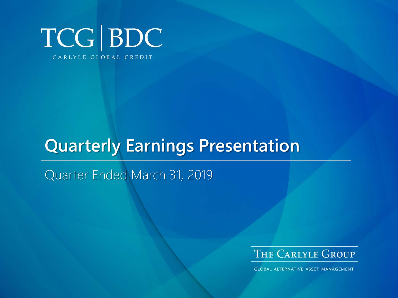

# **Quarterly Earnings Presentation**

Quarter Ended March 31, 2019



**GLOBAL ALTERNATIVE ASSET MANAGEMENT**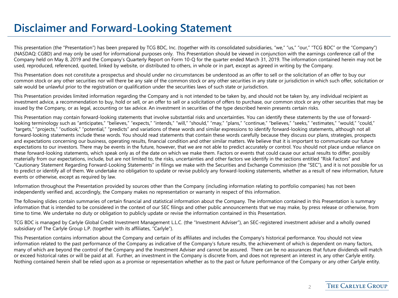### **Disclaimer and Forward-Looking Statement**

This presentation (the "Presentation") has been prepared by TCG BDC, Inc. (together with its consolidated subsidiaries, "we," "us," "our," "TCG BDC" or the "Company") (NASDAQ: CGBD) and may only be used for informational purposes only. This Presentation should be viewed in conjunction with the earnings conference call of the Company held on May 8, 2019 and the Company's Quarterly Report on Form 10-Q for the quarter ended March 31, 2019. The information contained herein may not be used, reproduced, referenced, quoted, linked by website, or distributed to others, in whole or in part, except as agreed in writing by the Company.

This Presentation does not constitute a prospectus and should under no circumstances be understood as an offer to sell or the solicitation of an offer to buy our common stock or any other securities nor will there be any sale of the common stock or any other securities in any state or jurisdiction in which such offer, solicitation or sale would be unlawful prior to the registration or qualification under the securities laws of such state or jurisdiction.

This Presentation provides limited information regarding the Company and is not intended to be taken by, and should not be taken by, any individual recipient as investment advice, a recommendation to buy, hold or sell, or an offer to sell or a solicitation of offers to purchase, our common stock or any other securities that may be issued by the Company, or as legal, accounting or tax advice. An investment in securities of the type described herein presents certain risks.

This Presentation may contain forward-looking statements that involve substantial risks and uncertainties. You can identify these statements by the use of forwardlooking terminology such as "anticipates," "believes," "expects," "intends," "will," "should," "may," "plans," "continue," "believes," "seeks," "estimates," "would," "could," "targets," "projects," "outlook," "potential," "predicts" and variations of these words and similar expressions to identify forward-looking statements, although not all forward-looking statements include these words. You should read statements that contain these words carefully because they discuss our plans, strategies, prospects and expectations concerning our business, operating results, financial condition and other similar matters. We believe that it is important to communicate our future expectations to our investors. There may be events in the future, however, that we are not able to predict accurately or control. You should not place undue reliance on these forward-looking statements, which speak only as of the date on which we make them. Factors or events that could cause our actual results to differ, possibly materially from our expectations, include, but are not limited to, the risks, uncertainties and other factors we identify in the sections entitled "Risk Factors" and "Cautionary Statement Regarding Forward-Looking Statements" in filings we make with the Securities and Exchange Commission (the "SEC"), and it is not possible for us to predict or identify all of them. We undertake no obligation to update or revise publicly any forward-looking statements, whether as a result of new information, future events or otherwise, except as required by law.

Information throughout the Presentation provided by sources other than the Company (including information relating to portfolio companies) has not been independently verified and, accordingly, the Company makes no representation or warranty in respect of this information.

The following slides contain summaries of certain financial and statistical information about the Company. The information contained in this Presentation is summary information that is intended to be considered in the context of our SEC filings and other public announcements that we may make, by press release or otherwise, from time to time. We undertake no duty or obligation to publicly update or revise the information contained in this Presentation.

TCG BDC is managed by Carlyle Global Credit Investment Management L.L.C. (the "Investment Adviser"), an SEC-registered investment adviser and a wholly owned subsidiary of The Carlyle Group L.P. (together with its affiliates, "Carlyle").

This Presentation contains information about the Company and certain of its affiliates and includes the Company's historical performance. You should not view information related to the past performance of the Company as indicative of the Company's future results, the achievement of which is dependent on many factors, many of which are beyond the control of the Company and the Investment Adviser and cannot be assured. There can be no assurances that future dividends will match or exceed historical rates or will be paid at all. Further, an investment in the Company is discrete from, and does not represent an interest in, any other Carlyle entity. Nothing contained herein shall be relied upon as a promise or representation whether as to the past or future performance of the Company or any other Carlyle entity.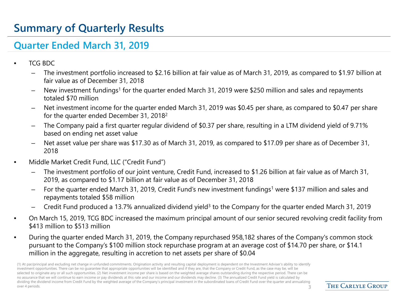# **Summary of Quarterly Results**

#### **Quarter Ended March 31, 2019**

- TCG BDC
	- The investment portfolio increased to \$2.16 billion at fair value as of March 31, 2019, as compared to \$1.97 billion at fair value as of December 31, 2018
	- New investment fundings<sup>1</sup> for the quarter ended March 31, 2019 were \$250 million and sales and repayments totaled \$70 million
	- Net investment income for the quarter ended March 31, 2019 was \$0.45 per share, as compared to \$0.47 per share for the quarter ended December 31, 20182
	- The Company paid a first quarter regular dividend of \$0.37 per share, resulting in a LTM dividend yield of 9.71% based on ending net asset value
	- Net asset value per share was \$17.30 as of March 31, 2019, as compared to \$17.09 per share as of December 31, 2018
- Middle Market Credit Fund, LLC ("Credit Fund")
	- The investment portfolio of our joint venture, Credit Fund, increased to \$1.26 billion at fair value as of March 31, 2019, as compared to \$1.17 billion at fair value as of December 31, 2018
	- For the quarter ended March 31, 2019, Credit Fund's new investment fundings<sup>1</sup> were \$137 million and sales and repayments totaled \$58 million
	- Credit Fund produced a 13.7% annualized dividend yield<sup>3</sup> to the Company for the quarter ended March 31, 2019
- On March 15, 2019, TCG BDC increased the maximum principal amount of our senior secured revolving credit facility from \$413 million to \$513 million
- During the quarter ended March 31, 2019, the Company repurchased 958,182 shares of the Company's common stock pursuant to the Company's \$100 million stock repurchase program at an average cost of \$14.70 per share, or \$14.1 million in the aggregate, resulting in accretion to net assets per share of \$0.04

(1) At par/principal and excluding net change in unfunded commitments. Origination activity and resulting capital deployment is dependent on the Investment Adviser's ability to identify investment opportunities. There can be no guarantee that appropriate opportunities will be identified and if they are, that the Company or Credit Fund, as the case may be, will be selected to originate any or all such opportunities. (2) Net investment income per share is based on the weighted average shares outstanding during the respective period. There can be no assurance that we will continue to earn income or pay dividends at this rate and our income and our dividends may decline. (3) The annualized Credit Fund yield is calculated by dividing the dividend income from Credit Fund by the weighted average of the Company's principal investment in the subordinated loans of Credit Fund over the quarter and annualizing over 4 periods. 2002 and 2008 and 2008 and 2008 and 2008 and 2008 and 2008 and 2008 and 2008 and 2008 and 2008  $\pm$ 

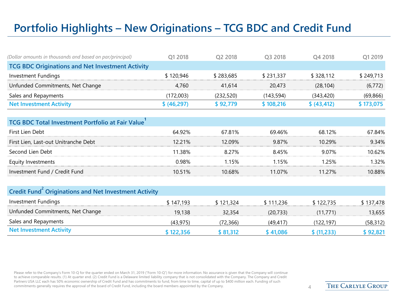# **Portfolio Highlights – New Originations – TCG BDC and Credit Fund**

| (Dollar amounts in thousands and based on par/principal) | 01 2018     | O <sub>2</sub> 2018 | O <sub>3</sub> 2018 | O4 2018      | Q1 2019   |
|----------------------------------------------------------|-------------|---------------------|---------------------|--------------|-----------|
| <b>TCG BDC Originations and Net Investment Activity</b>  |             |                     |                     |              |           |
| Investment Fundings                                      | \$120,946   | \$283.685           | \$231.337           | \$328,112    | \$249,713 |
| Unfunded Commitments, Net Change                         | 4.760       | 41.614              | 20,473              | (28.104)     | (6, 772)  |
| Sales and Repayments                                     | (172.003)   | (232.520)           | (143.594)           | (343, 420)   | (69, 866) |
| <b>Net Investment Activity</b>                           | \$ (46,297) | \$92.779            | \$108,216           | \$ (43, 412) | \$173,075 |

| <b>TCG BDC Total Investment Portfolio at Fair Value</b> |        |        |         |        |        |  |  |  |
|---------------------------------------------------------|--------|--------|---------|--------|--------|--|--|--|
| First Lien Debt                                         | 64.92% | 67.81% | 69.46%  | 68 12% | 67.84% |  |  |  |
| First Lien, Last-out Unitranche Debt                    | 12.21% | 12.09% | 9.87%   | 10.29% | 9.34%  |  |  |  |
| Second Lien Debt                                        | 11.38% | 8.27%  | 845%    | 9.07%  | 10.62% |  |  |  |
| Equity Investments                                      | ገ.ዓ8%  | 1.15%  | 1 15%   | 25%    | 32%    |  |  |  |
| Investment Fund / Credit Fund                           | 10.51% | 10.68% | 11 0 7% | 11 27% | 10.88% |  |  |  |

| <b>Credit Fund<sup>2</sup> Originations and Net Investment Activity</b> |           |           |           |                 |           |
|-------------------------------------------------------------------------|-----------|-----------|-----------|-----------------|-----------|
| Investment Fundings                                                     | \$147,193 | \$121.324 | \$111.236 | \$122.735       | \$137,478 |
| Unfunded Commitments, Net Change                                        | 19.138    | 32.354    | (20.733)  | (11.771)        | 13,655    |
| Sales and Repayments                                                    | (43, 975) | (72,366)  | (49.417)  | (122.197)       | (58, 312) |
| <b>Net Investment Activity</b>                                          | \$122,356 | \$81.312  | \$41.086  | $\sqrt{11,233}$ | \$ 92,821 |

Please refer to the Company's Form 10-Q for the quarter ended on March 31, 2019 ("Form 10-Q") for more information. No assurance is given that the Company will continue to achieve comparable results. (1) At quarter end. (2) Credit Fund is a Delaware limited liability company that is not consolidated with the Company. The Company and Credit Partners USA LLC each has 50% economic ownership of Credit Fund and has commitments to fund, from time to time, capital of up to \$400 million each. Funding of such commitments generally requires the approval of the board of Credit Fund, including the board members appointed by the Company. 4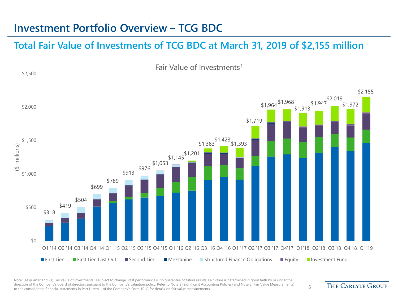#### **Investment Portfolio Overview – TCG BDC**

\$2,500

#### **Total Fair Value of Investments of TCG BDC at March 31, 2019 of \$2,155 million**

Fair Value of Investments1



Note: At quarter end. (1) Fair value of investments is subject to change. Past performance is no guarantee of future results. Fair value is determined in good faith by or under the direction of the Company's board of directors pursuant to the Company's valuation policy. Refer to Note 2 (Significant Accounting Policies) and Note 3 (Fair Value Measurements) airection of the Company's board of directors pursuant to the Company's valuation policy. Refer to Note 2 (Significant Accounting Policies) and Note 3 (Fair Value Measurements) 5<br>to the consolidated financial statements in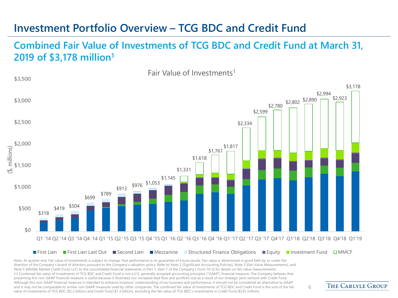#### **Investment Portfolio Overview – TCG BDC and Credit Fund**

#### **Combined Fair Value of Investments of TCG BDC and Credit Fund at March 31, 2019 of \$3,178 million1**

Fair Value of Investments<sup>1</sup>



Note: At quarter end. Fair value of investments is subject to change. Past performance is no quarantee of future results. Fair value is determined in good faith by or under the direction of the Company's board of directors pursuant to the Company's valuation policy. Refer to Note 2 (Significant Accounting Policies), Note 3 (Fair Value Measurements), and Note 5 (Middle Market Credit Fund, LLC) to the consolidated financial statements in Part 1, Item 1 of the Company's Form 10-Q for details on fair value measurements. (1) Combined fair value of investments of TCG BDC and Credit Fund is not a U.S. generally accepted accounting principles ("GAAP") financial measure. The Company believes that presenting this non-GAAP financial measure is useful because it illustrates our increased deal flow and portfolio size as a result of our strategic joint venture with Credit Fund. Although this non-GAAP financial measure is intended to enhance investors' understanding of our business and performance, it should not be considered an alternative to GAAP and it may not be comparable to similar non-GAAP measures used by other companies. The combined fair value of investments of TCG BDC and Credit Fund is the sum of the fair value of investments of TCG BDC (\$2.2 billion) and Credit Fund (\$1.3 billion), excluding the fair value of TCG BDC's investments in Credit Fund (\$235 million).

**THE CARLYLE GROUP**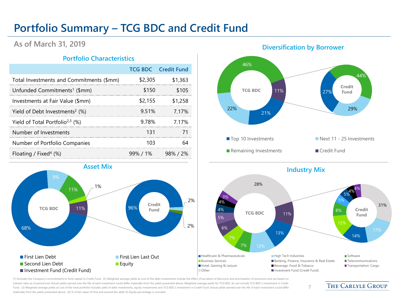### **Portfolio Summary – TCG BDC and Credit Fund**

#### **As of March 31, 2019**

#### **Portfolio Characteristics**

|                                               |         | <b>TCG BDC</b> Credit Fund |
|-----------------------------------------------|---------|----------------------------|
| Total Investments and Commitments (\$mm)      | \$2,305 | \$1,363                    |
| Unfunded Commitments <sup>1</sup> (\$mm)      | \$150   | \$105                      |
| Investments at Fair Value (\$mm)              | \$2,155 | \$1,258                    |
| Yield of Debt Investments <sup>2</sup> $(\%)$ | 9.51%   | 7 1 7 %                    |
| Yield of Total Portfolio <sup>2,3</sup> (%)   | 9.78%   | 7.17%                      |
| Number of Investments                         | 131     |                            |
| Number of Portfolio Companies                 | 103     |                            |
| Floating / Fixed <sup>4</sup> $(\%)$          |         | 99%/1% 98%/2%              |





#### **Diversification by Borrower**



7

(1) Excludes the Company's commitments to fund capital to Credit Fund. (2) Weighted average yields at cost of the debt investments include the effect of accretion of discounts and amortization of premiums and are based on interest rates as of period end. Actual yields earned over the life of each investment could differ materially from the yields presented above. Weighted average yields for TCG BDC do not include TCG BDC's investment in Cre Fund. (3) Weighted average yields at cost of the total portfolio includes yield of debt investments, equity investments and TCG BDC's investment in Credit Fund. Actual yields earned over the life of each investment could d materially from the yields presented above. (4) % of fair value of First and second lien debt (5) Equity percentage is rounded.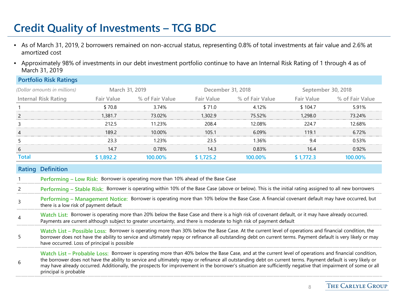# **Credit Quality of Investments – TCG BDC**

**Portfolio Risk Ratings**

- As of March 31, 2019, 2 borrowers remained on non-accrual status, representing 0.8% of total investments at fair value and 2.6% at amortized cost
- Approximately 98% of investments in our debt investment portfolio continue to have an Internal Risk Rating of 1 through 4 as of March 31, 2019

|              | POILIONO RISK Ratings                                                                                                                                                                                                                                                                                                                                                                                                                                                                                        |                                     |                 |                    |                                                                                                                                                        |                   |                 |  |  |
|--------------|--------------------------------------------------------------------------------------------------------------------------------------------------------------------------------------------------------------------------------------------------------------------------------------------------------------------------------------------------------------------------------------------------------------------------------------------------------------------------------------------------------------|-------------------------------------|-----------------|--------------------|--------------------------------------------------------------------------------------------------------------------------------------------------------|-------------------|-----------------|--|--|
|              | (Dollar amounts in millions)                                                                                                                                                                                                                                                                                                                                                                                                                                                                                 | December 31, 2018<br>March 31, 2019 |                 | September 30, 2018 |                                                                                                                                                        |                   |                 |  |  |
|              | <b>Internal Risk Rating</b>                                                                                                                                                                                                                                                                                                                                                                                                                                                                                  | <b>Fair Value</b>                   | % of Fair Value | <b>Fair Value</b>  | % of Fair Value                                                                                                                                        | <b>Fair Value</b> | % of Fair Value |  |  |
|              |                                                                                                                                                                                                                                                                                                                                                                                                                                                                                                              | \$70.8                              | 3.74%           | \$71.0             | 4.12%                                                                                                                                                  | \$104.7           | 5.91%           |  |  |
| 2            |                                                                                                                                                                                                                                                                                                                                                                                                                                                                                                              | 1,381.7                             | 73.02%          | 1,302.9            | 75.52%                                                                                                                                                 | 1,298.0           | 73.24%          |  |  |
| 3            |                                                                                                                                                                                                                                                                                                                                                                                                                                                                                                              | 212.5                               | 11.23%          | 208.4              | 12.08%                                                                                                                                                 | 224.7             | 12.68%          |  |  |
| 4            |                                                                                                                                                                                                                                                                                                                                                                                                                                                                                                              | 189.2                               | 10.00%          | 105.1              | 6.09%                                                                                                                                                  | 119.1             | 6.72%           |  |  |
|              |                                                                                                                                                                                                                                                                                                                                                                                                                                                                                                              | 23.3                                | 1.23%           | 23.5               | 1.36%                                                                                                                                                  | 9.4               | 0.53%           |  |  |
| 6            |                                                                                                                                                                                                                                                                                                                                                                                                                                                                                                              | 14.7                                | 0.78%           | 14.3               | 0.83%                                                                                                                                                  | 16.4              | 0.92%           |  |  |
| <b>Total</b> |                                                                                                                                                                                                                                                                                                                                                                                                                                                                                                              | \$1,892.2                           | 100.00%         | \$1,725.2          | 100.00%                                                                                                                                                | \$1,772.3         | 100.00%         |  |  |
|              | <b>Rating Definition</b><br>Performing - Low Risk: Borrower is operating more than 10% ahead of the Base Case                                                                                                                                                                                                                                                                                                                                                                                                |                                     |                 |                    |                                                                                                                                                        |                   |                 |  |  |
|              |                                                                                                                                                                                                                                                                                                                                                                                                                                                                                                              |                                     |                 |                    | Performing - Stable Risk: Borrower is operating within 10% of the Base Case (above or below). This is the initial rating assigned to all new borrowers |                   |                 |  |  |
|              | Performing - Management Notice: Borrower is operating more than 10% below the Base Case. A financial covenant default may have occurred, but<br>there is a low risk of payment default                                                                                                                                                                                                                                                                                                                       |                                     |                 |                    |                                                                                                                                                        |                   |                 |  |  |
|              | Watch List: Borrower is operating more than 20% below the Base Case and there is a high risk of covenant default, or it may have already occurred.<br>Payments are current although subject to greater uncertainty, and there is moderate to high risk of payment default                                                                                                                                                                                                                                    |                                     |                 |                    |                                                                                                                                                        |                   |                 |  |  |
| 5            | Watch List - Possible Loss: Borrower is operating more than 30% below the Base Case. At the current level of operations and financial condition, the<br>borrower does not have the ability to service and ultimately repay or refinance all outstanding debt on current terms. Payment default is very likely or may<br>have occurred. Loss of principal is possible                                                                                                                                         |                                     |                 |                    |                                                                                                                                                        |                   |                 |  |  |
| 6            | Watch List - Probable Loss: Borrower is operating more than 40% below the Base Case, and at the current level of operations and financial condition,<br>the borrower does not have the ability to service and ultimately repay or refinance all outstanding debt on current terms. Payment default is very likely or<br>may have already occurred. Additionally, the prospects for improvement in the borrower's situation are sufficiently negative that impairment of some or all<br>principal is probable |                                     |                 |                    |                                                                                                                                                        |                   |                 |  |  |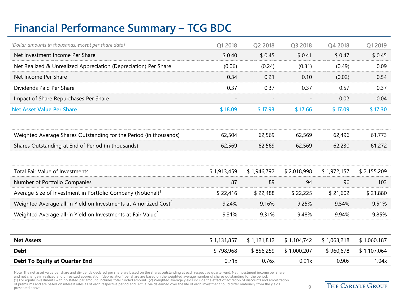# **Financial Performance Summary – TCG BDC**

| (Dollar amounts in thousands, except per share data)                        | Q1 2018     | Q2 2018     | Q3 2018     | Q4 2018     | Q1 2019     |
|-----------------------------------------------------------------------------|-------------|-------------|-------------|-------------|-------------|
| Net Investment Income Per Share                                             | \$0.40      | \$0.45      | \$0.41      | \$0.47      | \$0.45      |
| Net Realized & Unrealized Appreciation (Depreciation) Per Share             | (0.06)      | (0.24)      | (0.31)      | (0.49)      | 0.09        |
| Net Income Per Share                                                        | 0.34        | 0.21        | 0.10        | (0.02)      | 0.54        |
| Dividends Paid Per Share                                                    | 0.37        | 0.37        | 0.37        | 0.57        | 0.37        |
| Impact of Share Repurchases Per Share                                       |             |             |             | 0.02        | 0.04        |
| <b>Net Asset Value Per Share</b>                                            | \$18.09     | \$17.93     | \$17.66     | \$17.09     | \$17.30     |
| Weighted Average Shares Outstanding for the Period (in thousands)           | 62,504      | 62,569      | 62,569      | 62,496      | 61,773      |
| Shares Outstanding at End of Period (in thousands)                          | 62,569      | 62,569      | 62,569      | 62,230      | 61,272      |
| <b>Total Fair Value of Investments</b>                                      | \$1,913,459 | \$1,946,792 | \$2,018,998 | \$1,972,157 | \$2,155,209 |
| Number of Portfolio Companies                                               | 87          | 89          | 94          | 96          | 103         |
| Average Size of Investment in Portfolio Company (Notional) <sup>1</sup>     | \$22,416    | \$22,488    | \$22,225    | \$21,602    | \$21,880    |
| Weighted Average all-in Yield on Investments at Amortized Cost <sup>2</sup> | 9.24%       | 9.16%       | 9.25%       | 9.54%       | 9.51%       |
| Weighted Average all-in Yield on Investments at Fair Value <sup>2</sup>     | 9.31%       | 9.31%       | 9.48%       | 9.94%       | 9.85%       |
| <b>Net Assets</b>                                                           | \$1,131,857 | \$1,121,812 | \$1,104,742 | \$1,063,218 | \$1,060,187 |
| <b>Debt</b>                                                                 | \$798,968   | \$856,259   | \$1,000,207 | \$960,678   | \$1,107,064 |
| <b>Debt To Equity at Quarter End</b>                                        | 0.71x       | 0.76x       | 0.91x       | 0.90x       | 1.04x       |

Note: The net asset value per share and dividends declared per share are based on the shares outstanding at each respective quarter-end. Net investment income per share<br>and net change in realized and unrealized appreciatio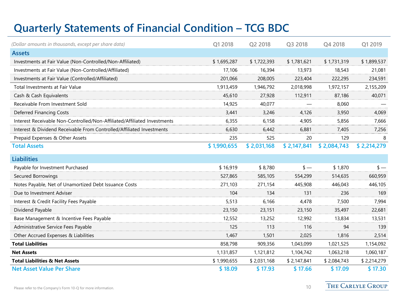# **Quarterly Statements of Financial Condition – TCG BDC**

| (Dollar amounts in thousands, except per share data)                     | Q1 2018     | Q2 2018     | Q3 2018     | Q4 2018     | Q1 2019       |
|--------------------------------------------------------------------------|-------------|-------------|-------------|-------------|---------------|
| <b>Assets</b>                                                            |             |             |             |             |               |
| Investments at Fair Value (Non-Controlled/Non-Affiliated)                | \$1,695,287 | \$1,722,393 | \$1,781,621 | \$1,731,319 | \$1,899,537   |
| Investments at Fair Value (Non-Controlled/Affiliated)                    | 17,106      | 16,394      | 13,973      | 18,543      | 21,081        |
| Investments at Fair Value (Controlled/Affiliated)                        | 201,066     | 208,005     | 223,404     | 222,295     | 234,591       |
| <b>Total Investments at Fair Value</b>                                   | 1,913,459   | 1,946,792   | 2,018,998   | 1,972,157   | 2,155,209     |
| Cash & Cash Equivalents                                                  | 45.610      | 27,928      | 112,911     | 87,186      | 40,071        |
| Receivable From Investment Sold                                          | 14,925      | 40,077      |             | 8,060       |               |
| Deferred Financing Costs                                                 | 3,441       | 3,246       | 4,126       | 3,950       | 4,069         |
| Interest Receivable Non-Controlled/Non-Affiliated/Affiliated Investments | 6.355       | 6,158       | 4,905       | 5,856       | 7,666         |
| Interest & Dividend Receivable From Controlled/Affiliated Investments    | 6,630       | 6,442       | 6,881       | 7,405       | 7,256         |
| Prepaid Expenses & Other Assets                                          | 235         | 525         | 20          | 129         | 8             |
| <b>Total Assets</b>                                                      | \$1,990,655 | \$2,031,168 | \$2,147,841 | \$2,084,743 | \$2,214,279   |
| <b>Liabilities</b>                                                       |             |             |             |             |               |
| Payable for Investment Purchased                                         | \$16,919    | \$8,780     | $s -$       | \$1,870     | $\frac{1}{2}$ |
| Secured Borrowings                                                       | 527,865     | 585,105     | 554,299     | 514,635     | 660,959       |
| Notes Payable, Net of Unamortized Debt Issuance Costs                    | 271,103     | 271,154     | 445,908     | 446,043     | 446,105       |
| Due to Investment Adviser                                                | 104         | 134         | 131         | 236         | 169           |
| Interest & Credit Facility Fees Payable                                  | 5,513       | 6,166       | 4,478       | 7,500       | 7,994         |
| Dividend Payable                                                         | 23,150      | 23,151      | 23,150      | 35,497      | 22,681        |
| Base Management & Incentive Fees Payable                                 | 12,552      | 13,252      | 12,992      | 13,834      | 13,531        |
| Administrative Service Fees Payable                                      | 125         | 113         | 116         | 94          | 139           |
| Other Accrued Expenses & Liabilities                                     | 1.467       | 1,501       | 2,025       | 1,816       | 2,514         |
| <b>Total Liabilities</b>                                                 | 858,798     | 909,356     | 1,043,099   | 1,021,525   | 1,154,092     |
| <b>Net Assets</b>                                                        | 1,131,857   | 1,121,812   | 1,104,742   | 1,063,218   | 1,060,187     |
| <b>Total Liabilities &amp; Net Assets</b>                                | \$1,990,655 | \$2,031,168 | \$2,147,841 | \$2,084,743 | \$2,214,279   |
| <b>Net Asset Value Per Share</b>                                         | \$18.09     | \$17.93     | \$17.66     | \$17.09     | \$17.30       |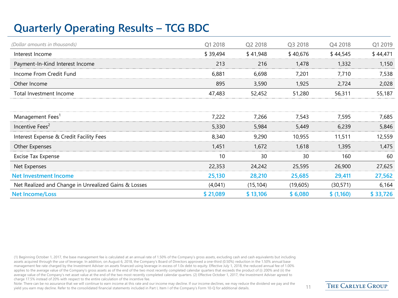# **Quarterly Operating Results – TCG BDC**

| (Dollar amounts in thousands)                        | Q1 2018  | Q2 2018   | Q3 2018  | Q4 2018    | Q1 2019  |
|------------------------------------------------------|----------|-----------|----------|------------|----------|
| Interest Income                                      | \$39,494 | \$41,948  | \$40,676 | \$44,545   | \$44,471 |
| Payment-In-Kind Interest Income                      | 213      | 216       | 1,478    | 1,332      | 1,150    |
| Income From Credit Fund                              | 6,881    | 6,698     | 7,201    | 7,710      | 7,538    |
| Other Income                                         | 895      | 3,590     | 1,925    | 2,724      | 2,028    |
| Total Investment Income                              | 47,483   | 52,452    | 51,280   | 56,311     | 55,187   |
|                                                      |          |           |          |            |          |
| Management Fees <sup>1</sup>                         | 7,222    | 7,266     | 7,543    | 7,595      | 7,685    |
| Incentive Fees <sup>2</sup>                          | 5,330    | 5,984     | 5,449    | 6,239      | 5,846    |
| Interest Expense & Credit Facility Fees              | 8,340    | 9,290     | 10,955   | 11,511     | 12,559   |
| Other Expenses                                       | 1,451    | 1,672     | 1,618    | 1,395      | 1,475    |
| Excise Tax Expense                                   | 10       | 30        | 30       | 160        | 60       |
| Net Expenses                                         | 22,353   | 24,242    | 25,595   | 26,900     | 27,625   |
| <b>Net Investment Income</b>                         | 25,130   | 28,210    | 25,685   | 29,411     | 27,562   |
| Net Realized and Change in Unrealized Gains & Losses | (4,041)  | (15, 104) | (19,605) | (30, 571)  | 6,164    |
| <b>Net Income/Loss</b>                               | \$21,089 | \$13,106  | \$6,080  | \$ (1,160) | \$33,726 |

(1) Beginning October 1, 2017, the base management fee is calculated at an annual rate of 1.50% of the Company's gross assets, excluding cash and cash equivalents but including assets acquired through the use of leverage. In addition, on August 6, 2018, the Company's Board of Directors approved a one-third (0.50%) reduction in the 1.50% annual base management fee rate charged by the Investment Adviser on assets financed using leverage in excess of 1.0x debt to equity. Effective July 1, 2018, the reduced annual fee of 1.00% applies to the average value of the Company's gross assets as of the end of the two most recently completed calendar quarters that exceeds the product of (i) 200% and (ii) the average value of the Company's net asset value at the end of the two most recently completed calendar quarters. (2) Effective October 1, 2017, the Investment Adviser agreed to charge 17.5% instead of 20% with respect to the entire calculation of the incentive fee.

Note: There can be no assurance that we will continue to earn income at this rate and our income may decline. If our income declines, we may reduce the dividend we pay and the yield you earn may decline. Refer to the consolidated financial statements included in Part I, Item I of the Company's Form 10-Q for additional details. 11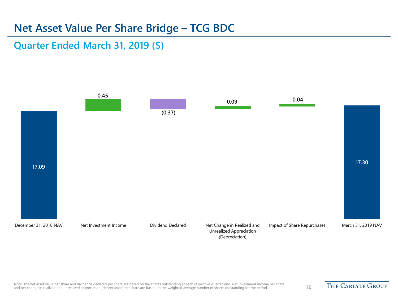### **Net Asset Value Per Share Bridge – TCG BDC**

#### **Quarter Ended March 31, 2019 (\$)**

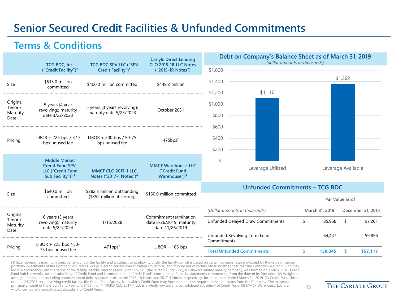### **Senior Secured Credit Facilities & Unfunded Commitments**

#### **Terms & Conditions**

|                     | TCG BDC, Inc.                                                                        | <b>TCG BDC SPV LLC ("SPV</b>                                      | <b>Carlyle Direct Lending</b><br>CLO 2015-1R LLC Notes                  |               | Debt on Company's Balance Sheet as of March 31, 2019<br>(dollar amounts in thousands) |                    |                 |                   |
|---------------------|--------------------------------------------------------------------------------------|-------------------------------------------------------------------|-------------------------------------------------------------------------|---------------|---------------------------------------------------------------------------------------|--------------------|-----------------|-------------------|
|                     | ("Credit Facility") <sup>1</sup>                                                     | Credit Facility") <sup>1</sup>                                    | ("2015-1R Notes")                                                       | \$1,600       |                                                                                       |                    |                 |                   |
| Size                | \$513.0 million<br>committed                                                         | \$400.0 million committed                                         | \$449.2 million                                                         | \$1,400       |                                                                                       |                    | \$1,362         |                   |
|                     |                                                                                      |                                                                   |                                                                         | \$1,200       | \$1,110                                                                               |                    |                 |                   |
| Original<br>Tenor / | 5 years (4 year<br>revolving); maturity                                              | 5 years (3 years revolving);                                      | October 2031                                                            | \$1,000       |                                                                                       |                    |                 |                   |
| Maturity<br>Date    | date 3/22/2023                                                                       | maturity date 5/23/2023                                           |                                                                         | \$800         |                                                                                       |                    |                 |                   |
|                     |                                                                                      |                                                                   |                                                                         | \$600         |                                                                                       |                    |                 |                   |
| Pricing             | LIBOR + 225 bps / 37.5<br>bps unused fee                                             | LIBOR + 200 bps / 50-75<br>bps unused fee                         | 475bps <sup>2</sup>                                                     | \$400         |                                                                                       |                    |                 |                   |
|                     |                                                                                      |                                                                   |                                                                         | \$200         |                                                                                       |                    |                 |                   |
|                     | <b>Middle Market</b>                                                                 |                                                                   |                                                                         | $\frac{1}{2}$ |                                                                                       |                    |                 |                   |
|                     | <b>Credit Fund SPV,</b><br><b>LLC ("Credit Fund</b><br>Sub Facility") <sup>1,3</sup> | <b>MMCF CLO 2017-1 LLC</b><br>Notes ("2017-1 Notes") <sup>4</sup> | <b>MMCF Warehouse, LLC</b><br>("Credit Fund<br>Warehouse") <sup>5</sup> |               | Leverage Utilized                                                                     | Leverage Available |                 |                   |
|                     | \$640.0 million                                                                      |                                                                   |                                                                         |               | <b>Unfunded Commitments - TCG BDC</b>                                                 |                    |                 |                   |
| Size                | committed                                                                            | \$282.3 million outstanding<br>(\$352 million at closing)         | \$150.0 million committed                                               |               |                                                                                       |                    | Par Value as of |                   |
| Original            |                                                                                      |                                                                   |                                                                         |               | (Dollar amounts in thousands)                                                         | March 31, 2019     |                 | December 31, 2018 |
| Tenor /<br>Maturity | 6 years (3 years<br>revolving); maturity<br>date 5/22/2024                           | 1/15/2028                                                         | Commitment termination<br>date 8/26/2019; maturity<br>date 11/26/2019   |               | Unfunded Delayed Draw Commitments                                                     | \$<br>85,958       | \$              | 97,261            |
| Date                |                                                                                      |                                                                   |                                                                         | Commitments   | Unfunded Revolving Term Loan                                                          | 64,447             |                 | 59,856            |
| Pricing             | LIBOR + 225 bps / 50-<br>75 bps unused fee                                           | 471bps <sup>2</sup>                                               | $LIBOR + 105$ bps                                                       |               | <b>Total Unfunded Commitments</b>                                                     | \$<br>150,345      | -\$             | 157,117           |

(1) Size represents maximum principal amount of the facility and is subject to availability under the facility, which is based on certain advance rates multiplied by the value of certain<br>portfolio investments of the Compan incur in accordance with the terms of the facility. Middle Market Credit Fund SPV, LLC (the "Credit Fund Sub"), a Delaware limited liability company, was formed on April 5, 2016. Credit<br>Fund Sub is a wholly-owned subsidiar on June 24, 2016 on a revolving credit facility, the Credit Fund Facility, from which Credit Fund may from time to time request mezzanine loans from the Company. The maximum principal amount of the Credit Fund Facility is \$175mm. (4) MMCF CLO 2017-1 LLC is a wholly-owned and consolidated subsidiary of Credit Fund. (5) MMCF Warehouse, LLC is a \_\_\_\_\_\_\_\_\_\_\_\_\_\_<br>wholly-owned and consolidated subsid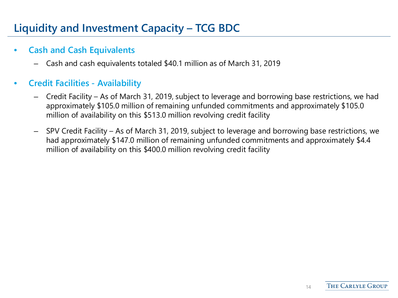# **Liquidity and Investment Capacity – TCG BDC**

#### • **Cash and Cash Equivalents**

– Cash and cash equivalents totaled \$40.1 million as of March 31, 2019

#### • **Credit Facilities - Availability**

- Credit Facility As of March 31, 2019, subject to leverage and borrowing base restrictions, we had approximately \$105.0 million of remaining unfunded commitments and approximately \$105.0 million of availability on this \$513.0 million revolving credit facility
- SPV Credit Facility As of March 31, 2019, subject to leverage and borrowing base restrictions, we had approximately \$147.0 million of remaining unfunded commitments and approximately \$4.4 million of availability on this \$400.0 million revolving credit facility